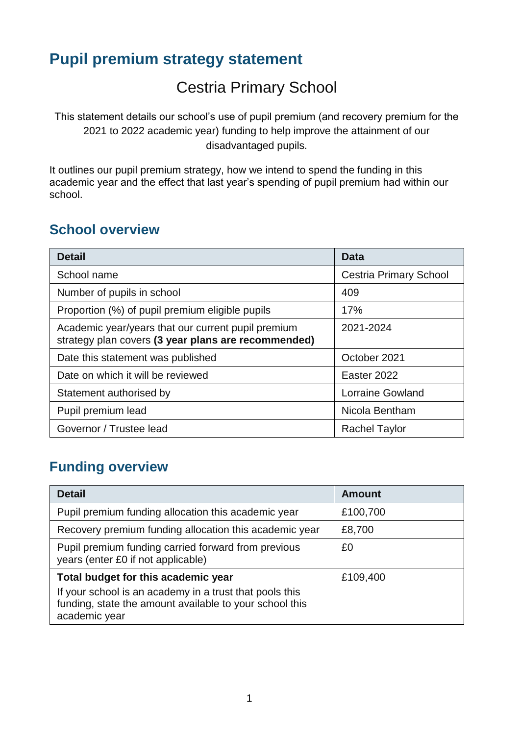# **Pupil premium strategy statement**

# Cestria Primary School

This statement details our school's use of pupil premium (and recovery premium for the 2021 to 2022 academic year) funding to help improve the attainment of our disadvantaged pupils.

It outlines our pupil premium strategy, how we intend to spend the funding in this academic year and the effect that last year's spending of pupil premium had within our school.

#### **School overview**

| <b>Detail</b>                                                                                             | Data                          |
|-----------------------------------------------------------------------------------------------------------|-------------------------------|
| School name                                                                                               | <b>Cestria Primary School</b> |
| Number of pupils in school                                                                                | 409                           |
| Proportion (%) of pupil premium eligible pupils                                                           | 17%                           |
| Academic year/years that our current pupil premium<br>strategy plan covers (3 year plans are recommended) | 2021-2024                     |
| Date this statement was published                                                                         | October 2021                  |
| Date on which it will be reviewed                                                                         | Easter 2022                   |
| Statement authorised by                                                                                   | <b>Lorraine Gowland</b>       |
| Pupil premium lead                                                                                        | Nicola Bentham                |
| Governor / Trustee lead                                                                                   | <b>Rachel Taylor</b>          |

### **Funding overview**

| <b>Detail</b>                                                                                                                                                              | <b>Amount</b> |
|----------------------------------------------------------------------------------------------------------------------------------------------------------------------------|---------------|
| Pupil premium funding allocation this academic year                                                                                                                        | £100,700      |
| Recovery premium funding allocation this academic year                                                                                                                     | £8,700        |
| Pupil premium funding carried forward from previous<br>years (enter £0 if not applicable)                                                                                  | £0            |
| Total budget for this academic year<br>If your school is an academy in a trust that pools this<br>funding, state the amount available to your school this<br>academic year | £109,400      |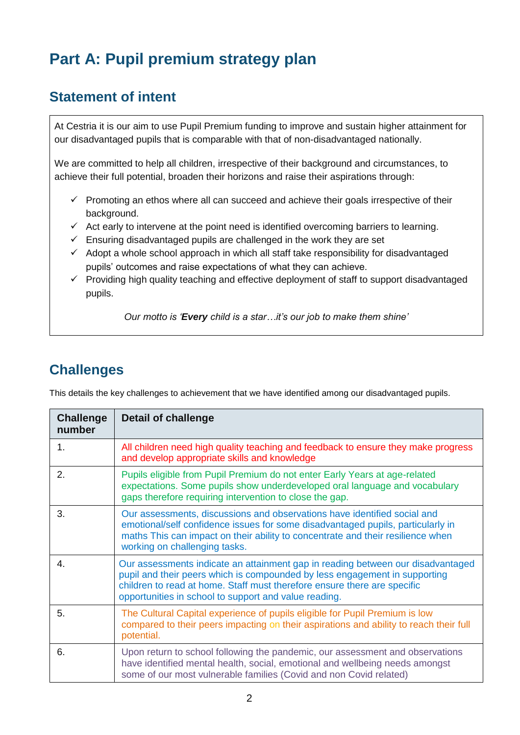# **Part A: Pupil premium strategy plan**

#### **Statement of intent**

At Cestria it is our aim to use Pupil Premium funding to improve and sustain higher attainment for our disadvantaged pupils that is comparable with that of non-disadvantaged nationally.

We are committed to help all children, irrespective of their background and circumstances, to achieve their full potential, broaden their horizons and raise their aspirations through:

- $\checkmark$  Promoting an ethos where all can succeed and achieve their goals irrespective of their background.
- $\checkmark$  Act early to intervene at the point need is identified overcoming barriers to learning.
- $\checkmark$  Ensuring disadvantaged pupils are challenged in the work they are set
- $\checkmark$  Adopt a whole school approach in which all staff take responsibility for disadvantaged pupils' outcomes and raise expectations of what they can achieve.
- ✓ Providing high quality teaching and effective deployment of staff to support disadvantaged pupils.

*Our motto is 'Every child is a star…it's our job to make them shine'*

#### **Challenges**

This details the key challenges to achievement that we have identified among our disadvantaged pupils.

| <b>Challenge</b><br>number | <b>Detail of challenge</b>                                                                                                                                                                                                                                                                         |
|----------------------------|----------------------------------------------------------------------------------------------------------------------------------------------------------------------------------------------------------------------------------------------------------------------------------------------------|
| 1.                         | All children need high quality teaching and feedback to ensure they make progress<br>and develop appropriate skills and knowledge                                                                                                                                                                  |
| 2.                         | Pupils eligible from Pupil Premium do not enter Early Years at age-related<br>expectations. Some pupils show underdeveloped oral language and vocabulary<br>gaps therefore requiring intervention to close the gap.                                                                                |
| 3.                         | Our assessments, discussions and observations have identified social and<br>emotional/self confidence issues for some disadvantaged pupils, particularly in<br>maths This can impact on their ability to concentrate and their resilience when<br>working on challenging tasks.                    |
| 4.                         | Our assessments indicate an attainment gap in reading between our disadvantaged<br>pupil and their peers which is compounded by less engagement in supporting<br>children to read at home. Staff must therefore ensure there are specific<br>opportunities in school to support and value reading. |
| 5.                         | The Cultural Capital experience of pupils eligible for Pupil Premium is low<br>compared to their peers impacting on their aspirations and ability to reach their full<br>potential.                                                                                                                |
| 6.                         | Upon return to school following the pandemic, our assessment and observations<br>have identified mental health, social, emotional and wellbeing needs amongst<br>some of our most vulnerable families (Covid and non Covid related)                                                                |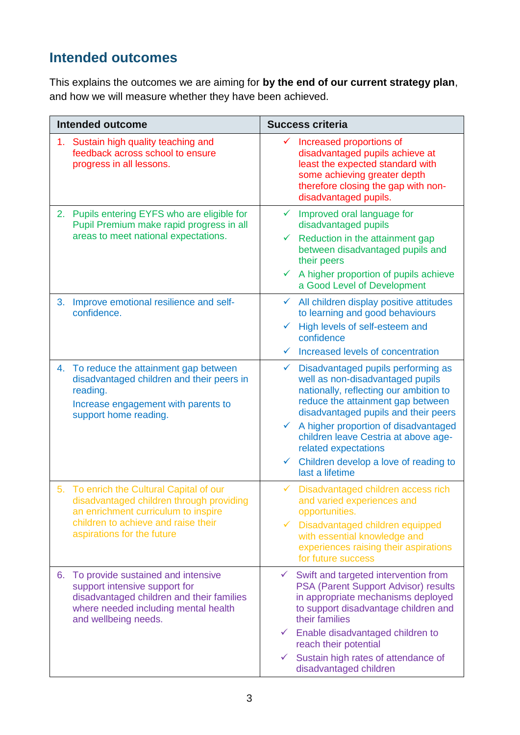## **Intended outcomes**

This explains the outcomes we are aiming for **by the end of our current strategy plan**, and how we will measure whether they have been achieved.

|    | <b>Intended outcome</b>                                                                                                                                                                          | <b>Success criteria</b>                                                                                                                                                                                                                                                                                                                                                                                           |
|----|--------------------------------------------------------------------------------------------------------------------------------------------------------------------------------------------------|-------------------------------------------------------------------------------------------------------------------------------------------------------------------------------------------------------------------------------------------------------------------------------------------------------------------------------------------------------------------------------------------------------------------|
|    | 1. Sustain high quality teaching and<br>feedback across school to ensure<br>progress in all lessons.                                                                                             | Increased proportions of<br>✓<br>disadvantaged pupils achieve at<br>least the expected standard with<br>some achieving greater depth<br>therefore closing the gap with non-<br>disadvantaged pupils.                                                                                                                                                                                                              |
| 2. | Pupils entering EYFS who are eligible for<br>Pupil Premium make rapid progress in all<br>areas to meet national expectations.                                                                    | Improved oral language for<br>$\checkmark$<br>disadvantaged pupils<br>Reduction in the attainment gap<br>$\checkmark$<br>between disadvantaged pupils and<br>their peers<br>A higher proportion of pupils achieve<br>$\checkmark$<br>a Good Level of Development                                                                                                                                                  |
| 3. | Improve emotional resilience and self-<br>confidence.                                                                                                                                            | All children display positive attitudes<br>$\checkmark$<br>to learning and good behaviours<br>High levels of self-esteem and<br>confidence<br>Increased levels of concentration<br>$\checkmark$                                                                                                                                                                                                                   |
| 4. | To reduce the attainment gap between<br>disadvantaged children and their peers in<br>reading.<br>Increase engagement with parents to<br>support home reading.                                    | Disadvantaged pupils performing as<br>$\checkmark$<br>well as non-disadvantaged pupils<br>nationally, reflecting our ambition to<br>reduce the attainment gap between<br>disadvantaged pupils and their peers<br>A higher proportion of disadvantaged<br>$\checkmark$<br>children leave Cestria at above age-<br>related expectations<br>Children develop a love of reading to<br>$\checkmark$<br>last a lifetime |
|    | 5. To enrich the Cultural Capital of our<br>disadvantaged children through providing<br>an enrichment curriculum to inspire<br>children to achieve and raise their<br>aspirations for the future | Disadvantaged children access rich<br>$\checkmark$<br>and varied experiences and<br>opportunities.<br>Disadvantaged children equipped<br>$\checkmark$<br>with essential knowledge and<br>experiences raising their aspirations<br>for future success                                                                                                                                                              |
| 6. | To provide sustained and intensive<br>support intensive support for<br>disadvantaged children and their families<br>where needed including mental health<br>and wellbeing needs.                 | Swift and targeted intervention from<br>$\checkmark$<br>PSA (Parent Support Advisor) results<br>in appropriate mechanisms deployed<br>to support disadvantage children and<br>their families<br>$\checkmark$ Enable disadvantaged children to<br>reach their potential<br>Sustain high rates of attendance of<br>$\checkmark$<br>disadvantaged children                                                           |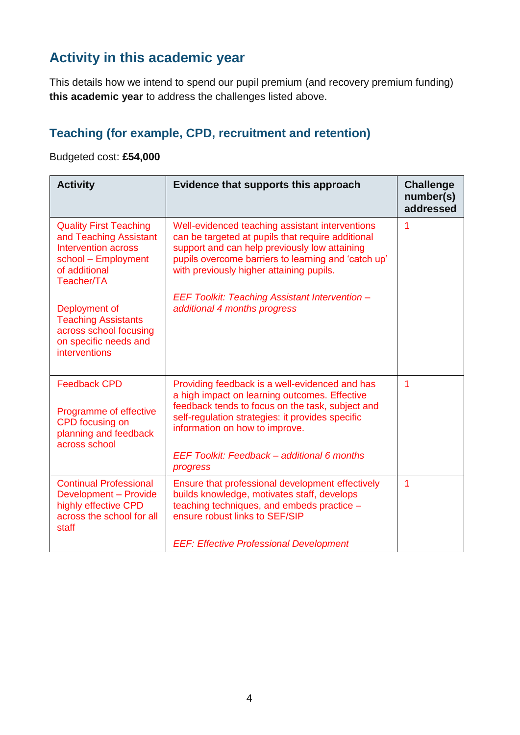## **Activity in this academic year**

This details how we intend to spend our pupil premium (and recovery premium funding) **this academic year** to address the challenges listed above.

#### **Teaching (for example, CPD, recruitment and retention)**

#### Budgeted cost: **£54,000**

| <b>Activity</b>                                                                                                                             | Evidence that supports this approach                                                                                                                                                                                                                                                                 | <b>Challenge</b><br>number(s)<br>addressed |
|---------------------------------------------------------------------------------------------------------------------------------------------|------------------------------------------------------------------------------------------------------------------------------------------------------------------------------------------------------------------------------------------------------------------------------------------------------|--------------------------------------------|
| <b>Quality First Teaching</b><br>and Teaching Assistant<br><b>Intervention across</b><br>school - Employment<br>of additional<br>Teacher/TA | Well-evidenced teaching assistant interventions<br>can be targeted at pupils that require additional<br>support and can help previously low attaining<br>pupils overcome barriers to learning and 'catch up'<br>with previously higher attaining pupils.                                             | 1                                          |
| Deployment of<br><b>Teaching Assistants</b><br>across school focusing<br>on specific needs and<br><b>interventions</b>                      | EEF Toolkit: Teaching Assistant Intervention -<br>additional 4 months progress                                                                                                                                                                                                                       |                                            |
| <b>Feedback CPD</b><br>Programme of effective<br>CPD focusing on<br>planning and feedback<br>across school                                  | Providing feedback is a well-evidenced and has<br>a high impact on learning outcomes. Effective<br>feedback tends to focus on the task, subject and<br>self-regulation strategies: it provides specific<br>information on how to improve.<br>EEF Toolkit: Feedback - additional 6 months<br>progress | 1                                          |
| <b>Continual Professional</b><br>Development - Provide<br>highly effective CPD<br>across the school for all<br>staff                        | Ensure that professional development effectively<br>builds knowledge, motivates staff, develops<br>teaching techniques, and embeds practice -<br>ensure robust links to SEF/SIP<br><b>EEF: Effective Professional Development</b>                                                                    | 1                                          |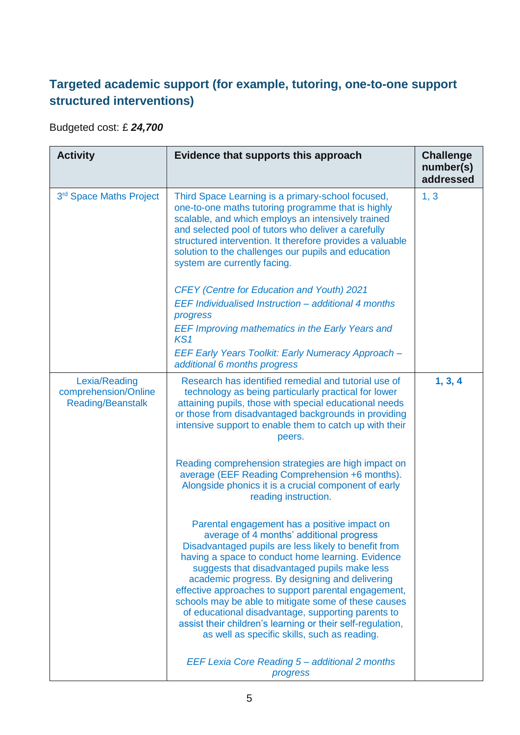#### **Targeted academic support (for example, tutoring, one-to-one support structured interventions)**

Budgeted cost: £ *24,700*

| <b>Activity</b>                                                   | Evidence that supports this approach                                                                                                                                                                                                                                                                                                                                                                                                                                                                                                                                                        | <b>Challenge</b><br>number(s)<br>addressed |
|-------------------------------------------------------------------|---------------------------------------------------------------------------------------------------------------------------------------------------------------------------------------------------------------------------------------------------------------------------------------------------------------------------------------------------------------------------------------------------------------------------------------------------------------------------------------------------------------------------------------------------------------------------------------------|--------------------------------------------|
| 3 <sup>rd</sup> Space Maths Project                               | Third Space Learning is a primary-school focused,<br>one-to-one maths tutoring programme that is highly<br>scalable, and which employs an intensively trained<br>and selected pool of tutors who deliver a carefully<br>structured intervention. It therefore provides a valuable<br>solution to the challenges our pupils and education<br>system are currently facing.                                                                                                                                                                                                                    | 1, 3                                       |
|                                                                   | <b>CFEY</b> (Centre for Education and Youth) 2021<br>EEF Individualised Instruction - additional 4 months<br>progress<br><b>EEF Improving mathematics in the Early Years and</b>                                                                                                                                                                                                                                                                                                                                                                                                            |                                            |
|                                                                   | KS <sub>1</sub><br>EEF Early Years Toolkit: Early Numeracy Approach -<br>additional 6 months progress                                                                                                                                                                                                                                                                                                                                                                                                                                                                                       |                                            |
| Lexia/Reading<br>comprehension/Online<br><b>Reading/Beanstalk</b> | Research has identified remedial and tutorial use of<br>technology as being particularly practical for lower<br>attaining pupils, those with special educational needs<br>or those from disadvantaged backgrounds in providing<br>intensive support to enable them to catch up with their<br>peers.<br>Reading comprehension strategies are high impact on<br>average (EEF Reading Comprehension +6 months).                                                                                                                                                                                | 1, 3, 4                                    |
|                                                                   | Alongside phonics it is a crucial component of early<br>reading instruction.                                                                                                                                                                                                                                                                                                                                                                                                                                                                                                                |                                            |
|                                                                   | Parental engagement has a positive impact on<br>average of 4 months' additional progress<br>Disadvantaged pupils are less likely to benefit from<br>having a space to conduct home learning. Evidence<br>suggests that disadvantaged pupils make less<br>academic progress. By designing and delivering<br>effective approaches to support parental engagement,<br>schools may be able to mitigate some of these causes<br>of educational disadvantage, supporting parents to<br>assist their children's learning or their self-regulation,<br>as well as specific skills, such as reading. |                                            |
|                                                                   | EEF Lexia Core Reading 5 - additional 2 months<br>progress                                                                                                                                                                                                                                                                                                                                                                                                                                                                                                                                  |                                            |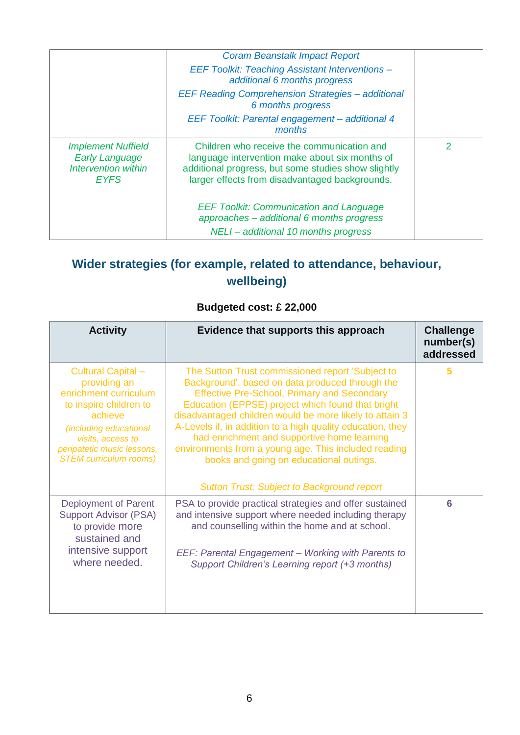|                                                                                          | <b>Coram Beanstalk Impact Report</b><br><b>EEF Toolkit: Teaching Assistant Interventions -</b><br>additional 6 months progress<br><b>EEF Reading Comprehension Strategies - additional</b><br>6 months progress |              |
|------------------------------------------------------------------------------------------|-----------------------------------------------------------------------------------------------------------------------------------------------------------------------------------------------------------------|--------------|
|                                                                                          | EEF Toolkit: Parental engagement - additional 4<br>months                                                                                                                                                       |              |
| <b>Implement Nuffield</b><br><b>Early Language</b><br>Intervention within<br><b>EYFS</b> | Children who receive the communication and<br>language intervention make about six months of<br>additional progress, but some studies show slightly<br>larger effects from disadvantaged backgrounds.           | $\mathcal P$ |
|                                                                                          | <b>EEF Toolkit: Communication and Language</b><br>approaches - additional 6 months progress<br>NELI-additional 10 months progress                                                                               |              |

### **Wider strategies (for example, related to attendance, behaviour, wellbeing)**

#### **Budgeted cost: £ 22,000**

| <b>Activity</b>                                                                                                                                                                                                | Evidence that supports this approach                                                                                                                                                                                                                                                                                                                                                                                                                                                                                                           | <b>Challenge</b><br>number(s)<br>addressed |
|----------------------------------------------------------------------------------------------------------------------------------------------------------------------------------------------------------------|------------------------------------------------------------------------------------------------------------------------------------------------------------------------------------------------------------------------------------------------------------------------------------------------------------------------------------------------------------------------------------------------------------------------------------------------------------------------------------------------------------------------------------------------|--------------------------------------------|
| Cultural Capital -<br>providing an<br>enrichment curriculum<br>to inspire children to<br>achieve<br>(including educational<br>visits, access to<br>peripatetic music lessons,<br><b>STEM curriculum rooms)</b> | The Sutton Trust commissioned report 'Subject to<br>Background', based on data produced through the<br><b>Effective Pre-School, Primary and Secondary</b><br>Education (EPPSE) project which found that bright<br>disadvantaged children would be more likely to attain 3<br>A-Levels if, in addition to a high quality education, they<br>had enrichment and supportive home learning<br>environments from a young age. This included reading<br>books and going on educational outings.<br><b>Sutton Trust: Subject to Background report</b> | 5                                          |
| Deployment of Parent<br><b>Support Advisor (PSA)</b><br>to provide more<br>sustained and<br>intensive support<br>where needed.                                                                                 | PSA to provide practical strategies and offer sustained<br>and intensive support where needed including therapy<br>and counselling within the home and at school.<br>EEF: Parental Engagement - Working with Parents to<br>Support Children's Learning report (+3 months)                                                                                                                                                                                                                                                                      | 6                                          |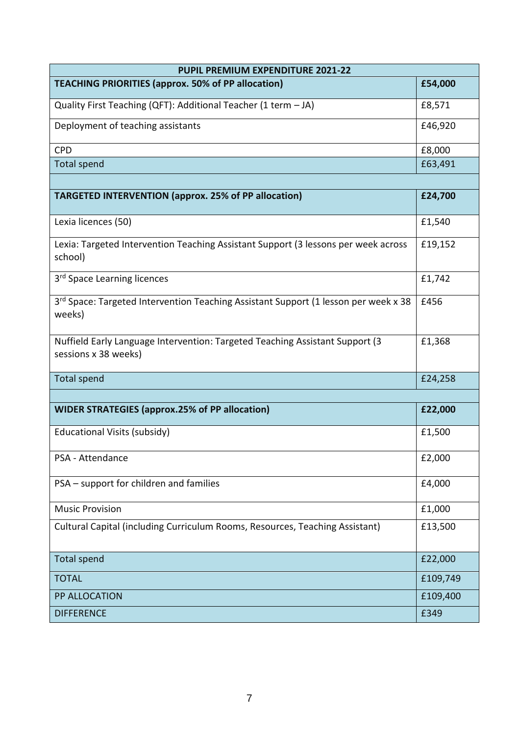| <b>PUPIL PREMIUM EXPENDITURE 2021-22</b>                                                             |          |  |
|------------------------------------------------------------------------------------------------------|----------|--|
| <b>TEACHING PRIORITIES (approx. 50% of PP allocation)</b>                                            | £54,000  |  |
| Quality First Teaching (QFT): Additional Teacher (1 term - JA)                                       | £8,571   |  |
| Deployment of teaching assistants                                                                    | £46,920  |  |
| <b>CPD</b>                                                                                           | £8,000   |  |
| <b>Total spend</b>                                                                                   | £63,491  |  |
|                                                                                                      |          |  |
| <b>TARGETED INTERVENTION (approx. 25% of PP allocation)</b>                                          | £24,700  |  |
| Lexia licences (50)                                                                                  | £1,540   |  |
| Lexia: Targeted Intervention Teaching Assistant Support (3 lessons per week across<br>school)        | £19,152  |  |
| 3 <sup>rd</sup> Space Learning licences                                                              | £1,742   |  |
| 3rd Space: Targeted Intervention Teaching Assistant Support (1 lesson per week x 38<br>weeks)        | £456     |  |
| Nuffield Early Language Intervention: Targeted Teaching Assistant Support (3<br>sessions x 38 weeks) | £1,368   |  |
| <b>Total spend</b>                                                                                   | £24,258  |  |
|                                                                                                      |          |  |
| <b>WIDER STRATEGIES (approx.25% of PP allocation)</b>                                                | £22,000  |  |
| Educational Visits (subsidy)                                                                         | £1,500   |  |
| PSA - Attendance                                                                                     | £2,000   |  |
| PSA - support for children and families                                                              | £4,000   |  |
| <b>Music Provision</b>                                                                               | £1,000   |  |
| Cultural Capital (including Curriculum Rooms, Resources, Teaching Assistant)                         | £13,500  |  |
| <b>Total spend</b>                                                                                   | £22,000  |  |
| <b>TOTAL</b>                                                                                         | £109,749 |  |
| PP ALLOCATION                                                                                        | £109,400 |  |
| <b>DIFFERENCE</b>                                                                                    | £349     |  |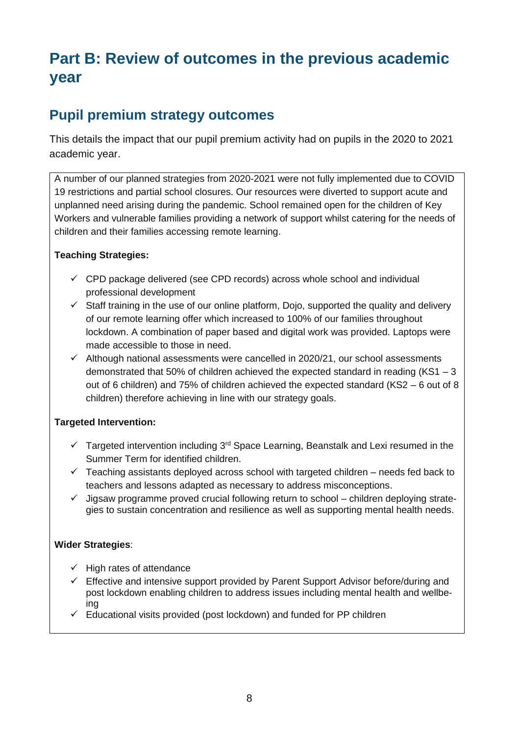# **Part B: Review of outcomes in the previous academic year**

#### **Pupil premium strategy outcomes**

This details the impact that our pupil premium activity had on pupils in the 2020 to 2021 academic year.

A number of our planned strategies from 2020-2021 were not fully implemented due to COVID 19 restrictions and partial school closures. Our resources were diverted to support acute and unplanned need arising during the pandemic. School remained open for the children of Key Workers and vulnerable families providing a network of support whilst catering for the needs of children and their families accessing remote learning.

#### **Teaching Strategies:**

- $\checkmark$  CPD package delivered (see CPD records) across whole school and individual professional development
- $\checkmark$  Staff training in the use of our online platform, Dojo, supported the quality and delivery of our remote learning offer which increased to 100% of our families throughout lockdown. A combination of paper based and digital work was provided. Laptops were made accessible to those in need.
- $\checkmark$  Although national assessments were cancelled in 2020/21, our school assessments demonstrated that 50% of children achieved the expected standard in reading (KS1 – 3 out of 6 children) and 75% of children achieved the expected standard (KS2 – 6 out of 8 children) therefore achieving in line with our strategy goals.

#### **Targeted Intervention:**

- $\checkmark$  Targeted intervention including 3<sup>rd</sup> Space Learning, Beanstalk and Lexi resumed in the Summer Term for identified children.
- $\checkmark$  Teaching assistants deployed across school with targeted children needs fed back to teachers and lessons adapted as necessary to address misconceptions.
- $\checkmark$  Jigsaw programme proved crucial following return to school children deploying strategies to sustain concentration and resilience as well as supporting mental health needs.

#### **Wider Strategies**:

- $\checkmark$  High rates of attendance
- $\checkmark$  Effective and intensive support provided by Parent Support Advisor before/during and post lockdown enabling children to address issues including mental health and wellbeing
- ✓ Educational visits provided (post lockdown) and funded for PP children